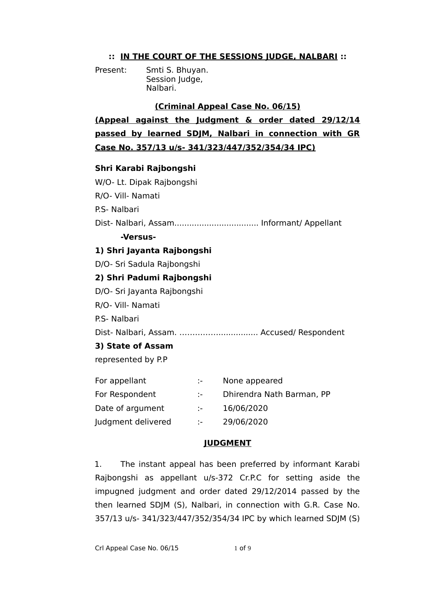## **:: IN THE COURT OF THE SESSIONS JUDGE, NALBARI ::**

Present: Smti S. Bhuyan. Session Judge, Nalbari.

## **(Criminal Appeal Case No. 06/15)**

**(Appeal against the Judgment & order dated 29/12/14 passed by learned SDJM, Nalbari in connection with GR Case No. 357/13 u/s- 341/323/447/352/354/34 IPC)**

## **Shri Karabi Rajbongshi**

W/O- Lt. Dipak Rajbongshi R/O- Vill- Namati P.S- Nalbari Dist- Nalbari, Assam.................................. Informant/ Appellant **-Versus-1) Shri Jayanta Rajbongshi** D/O- Sri Sadula Rajbongshi **2) Shri Padumi Rajbongshi** D/O- Sri Jayanta Rajbongshi R/O- Vill- Namati P.S- Nalbari Dist- Nalbari, Assam. ……………................ Accused/ Respondent **3) State of Assam** represented by P.P For appellant :- None appeared For Respondent :- Dhirendra Nath Barman, PP

- Date of argument :- 16/06/2020
- Judgment delivered :- 29/06/2020

## **JUDGMENT**

1. The instant appeal has been preferred by informant Karabi Rajbongshi as appellant u/s-372 Cr.P.C for setting aside the impugned judgment and order dated 29/12/2014 passed by the then learned SDJM (S), Nalbari, in connection with G.R. Case No. 357/13 u/s- 341/323/447/352/354/34 IPC by which learned SDJM (S)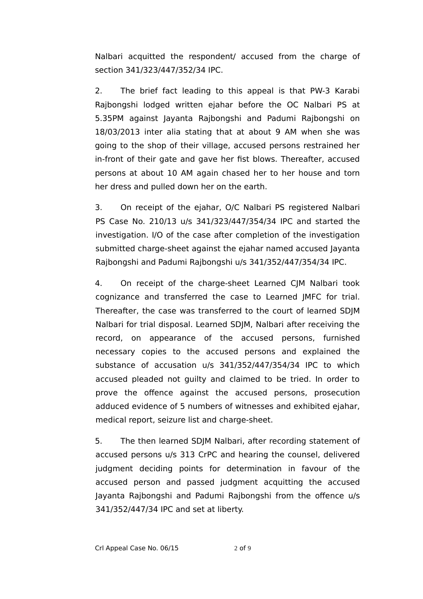Nalbari acquitted the respondent/ accused from the charge of section 341/323/447/352/34 IPC.

2. The brief fact leading to this appeal is that PW-3 Karabi Rajbongshi lodged written ejahar before the OC Nalbari PS at 5.35PM against Jayanta Rajbongshi and Padumi Rajbongshi on 18/03/2013 inter alia stating that at about 9 AM when she was going to the shop of their village, accused persons restrained her in-front of their gate and gave her fist blows. Thereafter, accused persons at about 10 AM again chased her to her house and torn her dress and pulled down her on the earth.

3. On receipt of the ejahar, O/C Nalbari PS registered Nalbari PS Case No. 210/13 u/s 341/323/447/354/34 IPC and started the investigation. I/O of the case after completion of the investigation submitted charge-sheet against the ejahar named accused Jayanta Rajbongshi and Padumi Rajbongshi u/s 341/352/447/354/34 IPC.

4. On receipt of the charge-sheet Learned CJM Nalbari took cognizance and transferred the case to Learned JMFC for trial. Thereafter, the case was transferred to the court of learned SDJM Nalbari for trial disposal. Learned SDJM, Nalbari after receiving the record, on appearance of the accused persons, furnished necessary copies to the accused persons and explained the substance of accusation u/s 341/352/447/354/34 IPC to which accused pleaded not guilty and claimed to be tried. In order to prove the offence against the accused persons, prosecution adduced evidence of 5 numbers of witnesses and exhibited ejahar, medical report, seizure list and charge-sheet.

5. The then learned SDJM Nalbari, after recording statement of accused persons u/s 313 CrPC and hearing the counsel, delivered judgment deciding points for determination in favour of the accused person and passed judgment acquitting the accused Jayanta Rajbongshi and Padumi Rajbongshi from the offence u/s 341/352/447/34 IPC and set at liberty.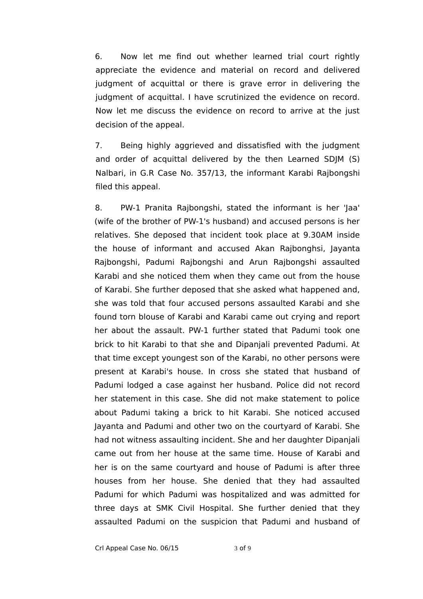6. Now let me find out whether learned trial court rightly appreciate the evidence and material on record and delivered judgment of acquittal or there is grave error in delivering the judgment of acquittal. I have scrutinized the evidence on record. Now let me discuss the evidence on record to arrive at the just decision of the appeal.

7. Being highly aggrieved and dissatisfied with the judgment and order of acquittal delivered by the then Learned SDJM (S) Nalbari, in G.R Case No. 357/13, the informant Karabi Rajbongshi filed this appeal.

8. PW-1 Pranita Rajbongshi, stated the informant is her 'Jaa' (wife of the brother of PW-1's husband) and accused persons is her relatives. She deposed that incident took place at 9.30AM inside the house of informant and accused Akan Rajbonghsi, Jayanta Rajbongshi, Padumi Rajbongshi and Arun Rajbongshi assaulted Karabi and she noticed them when they came out from the house of Karabi. She further deposed that she asked what happened and, she was told that four accused persons assaulted Karabi and she found torn blouse of Karabi and Karabi came out crying and report her about the assault. PW-1 further stated that Padumi took one brick to hit Karabi to that she and Dipanjali prevented Padumi. At that time except youngest son of the Karabi, no other persons were present at Karabi's house. In cross she stated that husband of Padumi lodged a case against her husband. Police did not record her statement in this case. She did not make statement to police about Padumi taking a brick to hit Karabi. She noticed accused Jayanta and Padumi and other two on the courtyard of Karabi. She had not witness assaulting incident. She and her daughter Dipanjali came out from her house at the same time. House of Karabi and her is on the same courtyard and house of Padumi is after three houses from her house. She denied that they had assaulted Padumi for which Padumi was hospitalized and was admitted for three days at SMK Civil Hospital. She further denied that they assaulted Padumi on the suspicion that Padumi and husband of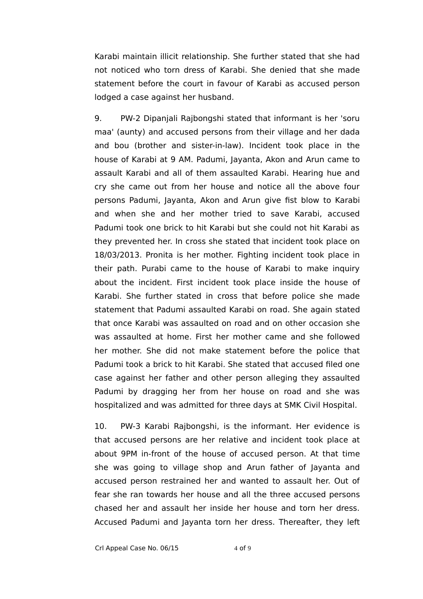Karabi maintain illicit relationship. She further stated that she had not noticed who torn dress of Karabi. She denied that she made statement before the court in favour of Karabi as accused person lodged a case against her husband.

9. PW-2 Dipanjali Rajbongshi stated that informant is her 'soru maa' (aunty) and accused persons from their village and her dada and bou (brother and sister-in-law). Incident took place in the house of Karabi at 9 AM. Padumi, Jayanta, Akon and Arun came to assault Karabi and all of them assaulted Karabi. Hearing hue and cry she came out from her house and notice all the above four persons Padumi, Jayanta, Akon and Arun give fist blow to Karabi and when she and her mother tried to save Karabi, accused Padumi took one brick to hit Karabi but she could not hit Karabi as they prevented her. In cross she stated that incident took place on 18/03/2013. Pronita is her mother. Fighting incident took place in their path. Purabi came to the house of Karabi to make inquiry about the incident. First incident took place inside the house of Karabi. She further stated in cross that before police she made statement that Padumi assaulted Karabi on road. She again stated that once Karabi was assaulted on road and on other occasion she was assaulted at home. First her mother came and she followed her mother. She did not make statement before the police that Padumi took a brick to hit Karabi. She stated that accused filed one case against her father and other person alleging they assaulted Padumi by dragging her from her house on road and she was hospitalized and was admitted for three days at SMK Civil Hospital.

10. PW-3 Karabi Rajbongshi, is the informant. Her evidence is that accused persons are her relative and incident took place at about 9PM in-front of the house of accused person. At that time she was going to village shop and Arun father of Jayanta and accused person restrained her and wanted to assault her. Out of fear she ran towards her house and all the three accused persons chased her and assault her inside her house and torn her dress. Accused Padumi and Jayanta torn her dress. Thereafter, they left

Crl Appeal Case No.  $06/15$  4 of 9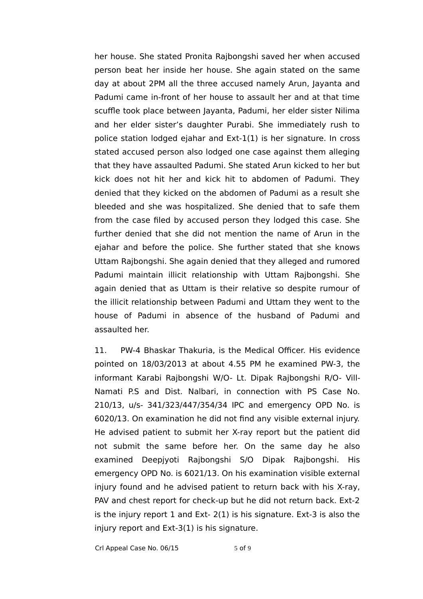her house. She stated Pronita Rajbongshi saved her when accused person beat her inside her house. She again stated on the same day at about 2PM all the three accused namely Arun, Jayanta and Padumi came in-front of her house to assault her and at that time scuffle took place between Jayanta, Padumi, her elder sister Nilima and her elder sister's daughter Purabi. She immediately rush to police station lodged ejahar and Ext-1(1) is her signature. In cross stated accused person also lodged one case against them alleging that they have assaulted Padumi. She stated Arun kicked to her but kick does not hit her and kick hit to abdomen of Padumi. They denied that they kicked on the abdomen of Padumi as a result she bleeded and she was hospitalized. She denied that to safe them from the case filed by accused person they lodged this case. She further denied that she did not mention the name of Arun in the ejahar and before the police. She further stated that she knows Uttam Rajbongshi. She again denied that they alleged and rumored Padumi maintain illicit relationship with Uttam Rajbongshi. She again denied that as Uttam is their relative so despite rumour of the illicit relationship between Padumi and Uttam they went to the house of Padumi in absence of the husband of Padumi and assaulted her.

11. PW-4 Bhaskar Thakuria, is the Medical Officer. His evidence pointed on 18/03/2013 at about 4.55 PM he examined PW-3, the informant Karabi Rajbongshi W/O- Lt. Dipak Rajbongshi R/O- Vill-Namati P.S and Dist. Nalbari, in connection with PS Case No. 210/13, u/s- 341/323/447/354/34 IPC and emergency OPD No. is 6020/13. On examination he did not find any visible external injury. He advised patient to submit her X-ray report but the patient did not submit the same before her. On the same day he also examined Deepjyoti Rajbongshi S/O Dipak Rajbongshi. His emergency OPD No. is 6021/13. On his examination visible external injury found and he advised patient to return back with his X-ray, PAV and chest report for check-up but he did not return back. Ext-2 is the injury report 1 and Ext- 2(1) is his signature. Ext-3 is also the injury report and Ext-3(1) is his signature.

Crl Appeal Case No.  $06/15$  5 of 9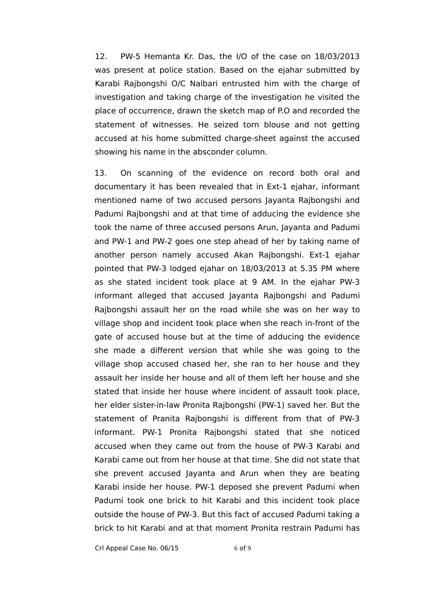12. PW-5 Hemanta Kr. Das, the I/O of the case on 18/03/2013 was present at police station. Based on the ejahar submitted by Karabi Rajbongshi O/C Nalbari entrusted him with the charge of investigation and taking charge of the investigation he visited the place of occurrence, drawn the sketch map of P.O and recorded the statement of witnesses. He seized torn blouse and not getting accused at his home submitted charge-sheet against the accused showing his name in the absconder column.

13. On scanning of the evidence on record both oral and documentary it has been revealed that in Ext-1 ejahar, informant mentioned name of two accused persons Jayanta Rajbongshi and Padumi Rajbongshi and at that time of adducing the evidence she took the name of three accused persons Arun, Jayanta and Padumi and PW-1 and PW-2 goes one step ahead of her by taking name of another person namely accused Akan Rajbongshi. Ext-1 ejahar pointed that PW-3 lodged ejahar on 18/03/2013 at 5.35 PM where as she stated incident took place at 9 AM. In the ejahar PW-3 informant alleged that accused Jayanta Rajbongshi and Padumi Rajbongshi assault her on the road while she was on her way to village shop and incident took place when she reach in-front of the gate of accused house but at the time of adducing the evidence she made a different version that while she was going to the village shop accused chased her, she ran to her house and they assault her inside her house and all of them left her house and she stated that inside her house where incident of assault took place, her elder sister-in-law Pronita Rajbongshi (PW-1) saved her. But the statement of Pranita Rajbongshi is different from that of PW-3 informant. PW-1 Pronita Rajbongshi stated that she noticed accused when they came out from the house of PW-3 Karabi and Karabi came out from her house at that time. She did not state that she prevent accused Jayanta and Arun when they are beating Karabi inside her house. PW-1 deposed she prevent Padumi when Padumi took one brick to hit Karabi and this incident took place outside the house of PW-3. But this fact of accused Padumi taking a brick to hit Karabi and at that moment Pronita restrain Padumi has

Crl Appeal Case No.  $06/15$  6 of 9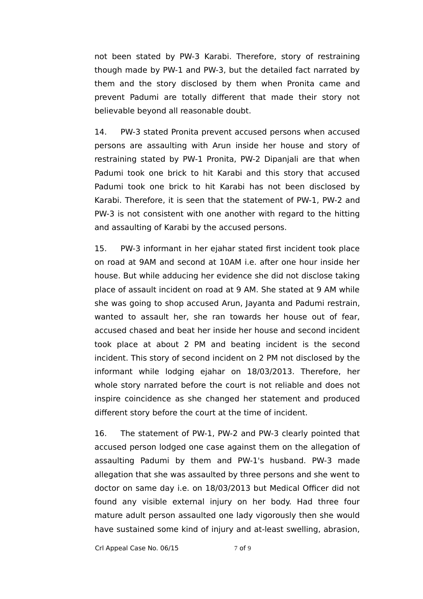not been stated by PW-3 Karabi. Therefore, story of restraining though made by PW-1 and PW-3, but the detailed fact narrated by them and the story disclosed by them when Pronita came and prevent Padumi are totally different that made their story not believable beyond all reasonable doubt.

14. PW-3 stated Pronita prevent accused persons when accused persons are assaulting with Arun inside her house and story of restraining stated by PW-1 Pronita, PW-2 Dipanjali are that when Padumi took one brick to hit Karabi and this story that accused Padumi took one brick to hit Karabi has not been disclosed by Karabi. Therefore, it is seen that the statement of PW-1, PW-2 and PW-3 is not consistent with one another with regard to the hitting and assaulting of Karabi by the accused persons.

15. PW-3 informant in her ejahar stated first incident took place on road at 9AM and second at 10AM i.e. after one hour inside her house. But while adducing her evidence she did not disclose taking place of assault incident on road at 9 AM. She stated at 9 AM while she was going to shop accused Arun, Jayanta and Padumi restrain, wanted to assault her, she ran towards her house out of fear, accused chased and beat her inside her house and second incident took place at about 2 PM and beating incident is the second incident. This story of second incident on 2 PM not disclosed by the informant while lodging ejahar on 18/03/2013. Therefore, her whole story narrated before the court is not reliable and does not inspire coincidence as she changed her statement and produced different story before the court at the time of incident.

16. The statement of PW-1, PW-2 and PW-3 clearly pointed that accused person lodged one case against them on the allegation of assaulting Padumi by them and PW-1's husband. PW-3 made allegation that she was assaulted by three persons and she went to doctor on same day i.e. on 18/03/2013 but Medical Officer did not found any visible external injury on her body. Had three four mature adult person assaulted one lady vigorously then she would have sustained some kind of injury and at-least swelling, abrasion,

Crl Appeal Case No. 06/15 7 of 9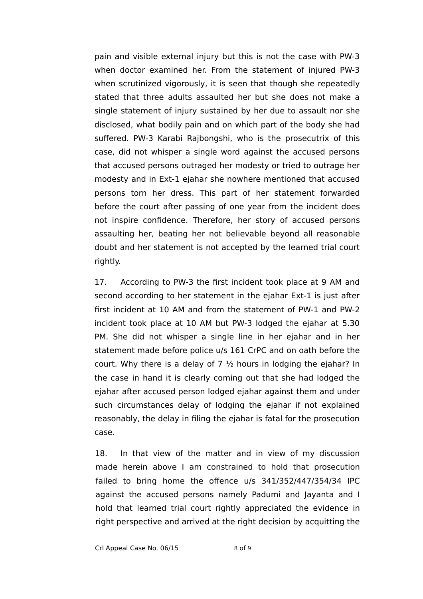pain and visible external injury but this is not the case with PW-3 when doctor examined her. From the statement of injured PW-3 when scrutinized vigorously, it is seen that though she repeatedly stated that three adults assaulted her but she does not make a single statement of injury sustained by her due to assault nor she disclosed, what bodily pain and on which part of the body she had suffered. PW-3 Karabi Rajbongshi, who is the prosecutrix of this case, did not whisper a single word against the accused persons that accused persons outraged her modesty or tried to outrage her modesty and in Ext-1 ejahar she nowhere mentioned that accused persons torn her dress. This part of her statement forwarded before the court after passing of one year from the incident does not inspire confidence. Therefore, her story of accused persons assaulting her, beating her not believable beyond all reasonable doubt and her statement is not accepted by the learned trial court rightly.

17. According to PW-3 the first incident took place at 9 AM and second according to her statement in the ejahar Ext-1 is just after first incident at 10 AM and from the statement of PW-1 and PW-2 incident took place at 10 AM but PW-3 lodged the ejahar at 5.30 PM. She did not whisper a single line in her ejahar and in her statement made before police u/s 161 CrPC and on oath before the court. Why there is a delay of  $7\frac{1}{2}$  hours in lodging the ejahar? In the case in hand it is clearly coming out that she had lodged the ejahar after accused person lodged ejahar against them and under such circumstances delay of lodging the ejahar if not explained reasonably, the delay in filing the ejahar is fatal for the prosecution case.

18. In that view of the matter and in view of my discussion made herein above I am constrained to hold that prosecution failed to bring home the offence u/s 341/352/447/354/34 IPC against the accused persons namely Padumi and Jayanta and I hold that learned trial court rightly appreciated the evidence in right perspective and arrived at the right decision by acquitting the